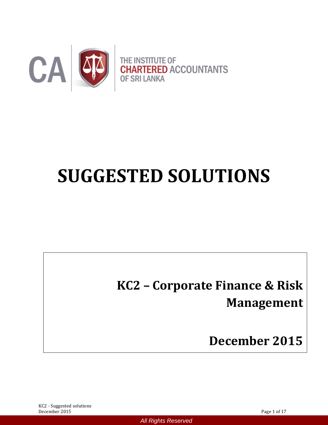

# **SUGGESTED SOLUTIONS**

*All Rights Reserved*

# **KC2 – Corporate Finance & Risk Management**

**December 2015**

KC2 - Suggested solutions December 2015 Page 1 of 17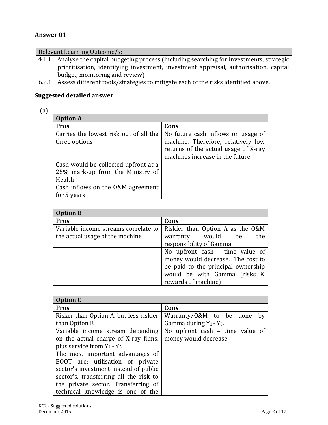#### **Answer 01**

| Relevant Learning Outcome/s: |                                                                                              |  |  |  |  |
|------------------------------|----------------------------------------------------------------------------------------------|--|--|--|--|
| 4.1.1                        | Analyse the capital budgeting process (including searching for investments, strategic        |  |  |  |  |
|                              | prioritisation, identifying investment, investment appraisal, authorisation, capital         |  |  |  |  |
|                              | budget, monitoring and review)                                                               |  |  |  |  |
|                              | لمستمراء المتكلف والمسامات وبالفائس وامعن والمستلف والمستور والمساور والمستحلفات والمستحلفات |  |  |  |  |

6.2.1 Assess different tools/strategies to mitigate each of the risks identified above.

# **Suggested detailed answer**

| ٠ | v<br>$\sim$ |   |
|---|-------------|---|
| × | v           | ĉ |

| <b>Option A</b>                                                                    |                                                                                                                                                     |
|------------------------------------------------------------------------------------|-----------------------------------------------------------------------------------------------------------------------------------------------------|
| <b>Pros</b>                                                                        | Cons                                                                                                                                                |
| Carries the lowest risk out of all the<br>three options                            | No future cash inflows on usage of<br>machine. Therefore, relatively low<br>returns of the actual usage of X-ray<br>machines increase in the future |
| Cash would be collected upfront at a<br>25% mark-up from the Ministry of<br>Health |                                                                                                                                                     |
| Cash inflows on the O&M agreement<br>for 5 years                                   |                                                                                                                                                     |

| <b>Option B</b>                      |                                    |
|--------------------------------------|------------------------------------|
| <b>Pros</b>                          | Cons                               |
| Variable income streams correlate to | Riskier than Option A as the O&M   |
| the actual usage of the machine      | the<br>warranty would be           |
|                                      | responsibility of Gamma            |
|                                      | No upfront cash - time value of    |
|                                      | money would decrease. The cost to  |
|                                      | be paid to the principal ownership |
|                                      | would be with Gamma (risks &       |
|                                      | rewards of machine)                |

| <b>Option C</b>                        |                                 |
|----------------------------------------|---------------------------------|
| <b>Pros</b>                            | Cons                            |
| Risker than Option A, but less riskier | Warranty/0&M to be done<br>by   |
| than Option B                          | Gamma during $Y_1 - Y_3$ .      |
| Variable income stream depending       | No upfront cash - time value of |
| on the actual charge of X-ray films,   | money would decrease.           |
| plus service from $Y_4 - Y_5$          |                                 |
| The most important advantages of       |                                 |
| BOOT are: utilisation of private       |                                 |
| sector's investment instead of public  |                                 |
| sector's, transferring all the risk to |                                 |
| the private sector. Transferring of    |                                 |
| technical knowledge is one of the      |                                 |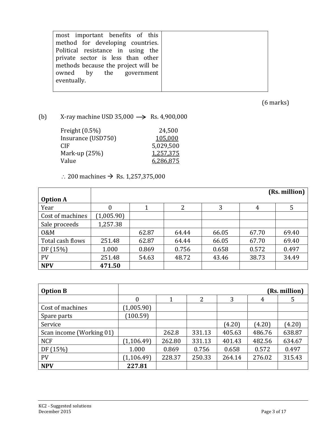| most important benefits of this     |  |
|-------------------------------------|--|
| method for developing countries.    |  |
| Political resistance in using the   |  |
| private sector is less than other   |  |
| methods because the project will be |  |
| owned by the government             |  |
| eventually.                         |  |
|                                     |  |

(6 marks)

(b) X-ray machine USD 35,000  $\longrightarrow$  Rs. 4,900,000

| Freight $(0.5\%)$  | 24,500    |
|--------------------|-----------|
| Insurance (USD750) | 105,000   |
| CIF <sub></sub>    | 5,029,500 |
| Mark-up $(25%)$    | 1,257,375 |
| Value              | 6,286,875 |

# ∴ 200 machines  $\rightarrow$  Rs. 1,257,375,000

|                  |            |       |       |       |       | (Rs. million) |
|------------------|------------|-------|-------|-------|-------|---------------|
| <b>Option A</b>  |            |       |       |       |       |               |
| Year             | 0          |       | 2     | 3     | 4     | 5             |
| Cost of machines | (1,005.90) |       |       |       |       |               |
| Sale proceeds    | 1,257.38   |       |       |       |       |               |
| 0&M              |            | 62.87 | 64.44 | 66.05 | 67.70 | 69.40         |
| Total cash flows | 251.48     | 62.87 | 64.44 | 66.05 | 67.70 | 69.40         |
| DF (15%)         | 1.000      | 0.869 | 0.756 | 0.658 | 0.572 | 0.497         |
| <b>PV</b>        | 251.48     | 54.63 | 48.72 | 43.46 | 38.73 | 34.49         |
| <b>NPV</b>       | 471.50     |       |       |       |       |               |

| <b>Option B</b>          |             |        |        |        |        | (Rs. million) |
|--------------------------|-------------|--------|--------|--------|--------|---------------|
|                          | 0           |        | 2      | 3      | 4      | 5             |
| Cost of machines         | (1,005.90)  |        |        |        |        |               |
| Spare parts              | (100.59)    |        |        |        |        |               |
| Service                  |             |        |        | (4.20) | (4.20) | (4.20)        |
| Scan income (Working 01) |             | 262.8  | 331.13 | 405.63 | 486.76 | 638.87        |
| <b>NCF</b>               | (1, 106.49) | 262.80 | 331.13 | 401.43 | 482.56 | 634.67        |
| DF (15%)                 | 1.000       | 0.869  | 0.756  | 0.658  | 0.572  | 0.497         |
| <b>PV</b>                | (1, 106.49) | 228.37 | 250.33 | 264.14 | 276.02 | 315.43        |
| <b>NPV</b>               | 227.81      |        |        |        |        |               |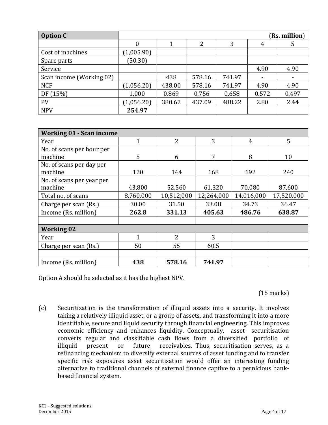| <b>Option C</b>          | (Rs. million) |        |        |        |       |       |  |
|--------------------------|---------------|--------|--------|--------|-------|-------|--|
|                          |               |        | າ      | 3      | 4     | 5     |  |
| Cost of machines         | (1,005.90)    |        |        |        |       |       |  |
| Spare parts              | (50.30)       |        |        |        |       |       |  |
| Service                  |               |        |        |        | 4.90  | 4.90  |  |
| Scan income (Working 02) |               | 438    | 578.16 | 741.97 |       |       |  |
| <b>NCF</b>               | (1,056.20)    | 438.00 | 578.16 | 741.97 | 4.90  | 4.90  |  |
| DF (15%)                 | 1.000         | 0.869  | 0.756  | 0.658  | 0.572 | 0.497 |  |
| <b>PV</b>                | (1,056.20)    | 380.62 | 437.09 | 488.22 | 2.80  | 2.44  |  |
| <b>NPV</b>               | 254.97        |        |        |        |       |       |  |

| <b>Working 01 - Scan income</b> |              |                |            |                |            |
|---------------------------------|--------------|----------------|------------|----------------|------------|
| Year                            | $\mathbf{1}$ | $\overline{2}$ | 3          | $\overline{4}$ | 5          |
| No. of scans per hour per       |              |                |            |                |            |
| machine                         | 5            | 6              | 7          | 8              | 10         |
| No. of scans per day per        |              |                |            |                |            |
| machine                         | 120          | 144            | 168        | 192            | 240        |
| No. of scans per year per       |              |                |            |                |            |
| machine                         | 43,800       | 52,560         | 61,320     | 70,080         | 87,600     |
| Total no. of scans              | 8,760,000    | 10,512,000     | 12,264,000 | 14,016,000     | 17,520,000 |
| Charge per scan (Rs.)           | 30.00        | 31.50          | 33.08      | 34.73          | 36.47      |
| Income (Rs. million)            | 262.8        | 331.13         | 405.63     | 486.76         | 638.87     |
|                                 |              |                |            |                |            |
| <b>Working 02</b>               |              |                |            |                |            |
| Year                            | 1            | 2              | 3          |                |            |
| Charge per scan (Rs.)           | 50           | 55             | 60.5       |                |            |
|                                 |              |                |            |                |            |
| Income (Rs. million)            | 438          | 578.16         | 741.97     |                |            |

Option A should be selected as it has the highest NPV.

(15 marks)

(c) Securitization is the transformation of illiquid assets into a security. It involves taking a relatively illiquid asset, or a group of assets, and transforming it into a more identifiable, secure and liquid security through financial engineering. This improves economic efficiency and enhances liquidity. Conceptually, asset securitisation converts regular and classifiable cash flows from a diversified portfolio of illiquid present or future receivables. Thus, securitisation serves, as a refinancing mechanism to diversify external sources of asset funding and to transfer specific risk exposures asset securitisation would offer an interesting funding alternative to traditional channels of external finance captive to a pernicious bankbased financial system.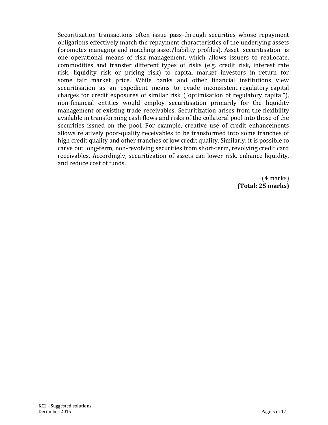Securitization transactions often issue pass-through securities whose repayment obligations effectively match the repayment characteristics of the underlying assets (promotes managing and matching asset/liability profiles). Asset securitisation is one operational means of risk management, which allows issuers to reallocate, commodities and transfer different types of risks (e.g. credit risk, interest rate risk, liquidity risk or pricing risk) to capital market investors in return for some fair market price. While banks and other financial institutions view securitisation as an expedient means to evade inconsistent regulatory capital charges for credit exposures of similar risk ("optimisation of regulatory capital"), non-financial entities would employ securitisation primarily for the liquidity management of existing trade receivables. Securitization arises from the flexibility available in transforming cash flows and risks of the collateral pool into those of the securities issued on the pool. For example, creative use of credit enhancements allows relatively poor-quality receivables to be transformed into some tranches of high credit quality and other tranches of low credit quality. Similarly, it is possible to carve out long-term, non-revolving securities from short-term, revolving credit card receivables. Accordingly, securitization of assets can lower risk, enhance liquidity, and reduce cost of funds.

> (4 marks) **(Total: 25 marks)**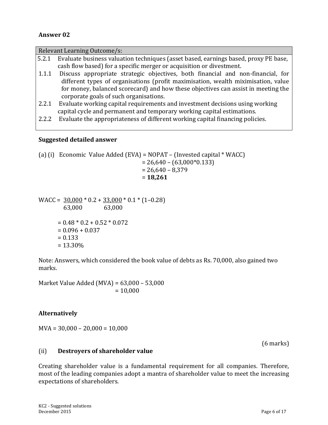#### **Answer 02**

|       | Relevant Learning Outcome/s:                                                        |
|-------|-------------------------------------------------------------------------------------|
| 5.2.1 | Evaluate business valuation techniques (asset based, earnings based, proxy PE base, |
|       | cash flow based) for a specific merger or acquisition or divestment.                |
| 1.1.1 | Discuss appropriate strategic objectives, both financial and non-financial, for     |
|       | different types of organisations (profit maximisation, wealth miximisation, value   |
|       | for money, balanced scorecard) and how these objectives can assist in meeting the   |
|       | corporate goals of such organisations.                                              |
| 2.2.1 | Evaluate working capital requirements and investment decisions using working        |
|       | capital cycle and permanent and temporary working capital estimations.              |
| 2.2.2 | Evaluate the appropriateness of different working capital financing policies.       |

#### **Suggested detailed answer**

(a) (i) Economic Value Added (EVA) = NOPAT – (Invested capital \* WACC) = 26,640 – (63,000\*0.133)  $= 26,640 - 8,379$ = **18,261**

 $WACC = 30,000 * 0.2 + 33,000 * 0.1 * (1-0.28)$  63,000 63,000  $= 0.48 * 0.2 + 0.52 * 0.072$  $= 0.096 + 0.037$  $= 0.133$ = 13.30%

Note: Answers, which considered the book value of debts as Rs. 70,000, also gained two marks.

Market Value Added (MVA) = 63,000 – 53,000  $= 10,000$ 

#### **Alternatively**

 $MVA = 30,000 - 20,000 = 10,000$ 

(6 marks)

#### (ii) **Destroyers of shareholder value**

Creating shareholder value is a fundamental requirement for all companies. Therefore, most of the leading companies adopt a mantra of shareholder value to meet the increasing expectations of shareholders.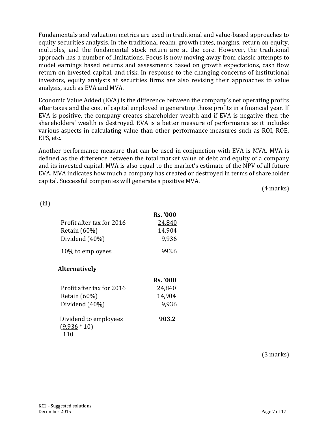Fundamentals and valuation metrics are used in traditional and value-based approaches to equity securities analysis. In the traditional realm, growth rates, margins, return on equity, multiples, and the fundamental stock return are at the core. However, the traditional approach has a number of limitations. Focus is now moving away from classic attempts to model earnings based returns and assessments based on growth expectations, cash flow return on invested capital, and risk. In response to the changing concerns of institutional investors, equity analysts at securities firms are also revising their approaches to value analysis, such as EVA and MVA.

Economic Value Added (EVA) is the difference between the company's net operating profits after taxes and the cost of capital employed in generating those profits in a financial year. If EVA is positive, the company creates shareholder wealth and if EVA is negative then the shareholders' wealth is destroyed. EVA is a better measure of performance as it includes various aspects in calculating value than other performance measures such as ROI, ROE, EPS, etc.

Another performance measure that can be used in conjunction with EVA is MVA. MVA is defined as the difference between the total market value of debt and equity of a company and its invested capital. MVA is also equal to the market's estimate of the NPV of all future EVA. MVA indicates how much a company has created or destroyed in terms of shareholder capital. Successful companies will generate a positive MVA.

(4 marks)

(iii)

|                           | <b>Rs. '000</b> |
|---------------------------|-----------------|
| Profit after tax for 2016 | 24,840          |
| Retain $(60\%)$           | 14,904          |
| Dividend (40%)            | 9,936           |
| 10% to employees          | 993.6           |

#### **Alternatively**

|                           | <b>Rs. '000</b> |
|---------------------------|-----------------|
| Profit after tax for 2016 | 24,840          |
| Retain $(60\%)$           | 14,904          |
| Dividend (40%)            | 9,936           |
| Dividend to employees     | 903.2           |
| $(9,936 * 10)$            |                 |
| 110                       |                 |

(3 marks)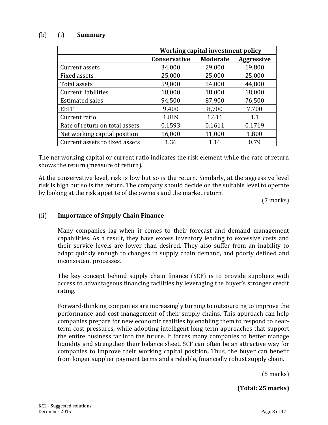#### (b) (i) **Summary**

|                                | Working capital investment policy |                 |                   |  |  |
|--------------------------------|-----------------------------------|-----------------|-------------------|--|--|
|                                | Conservative                      | <b>Moderate</b> | <b>Aggressive</b> |  |  |
| Current assets                 | 34,000                            | 29,000          | 19,800            |  |  |
| <b>Fixed assets</b>            | 25,000                            | 25,000          | 25,000            |  |  |
| Total assets                   | 59,000                            | 54,000          | 44,800            |  |  |
| Current liabilities            | 18,000                            | 18,000          | 18,000            |  |  |
| <b>Estimated sales</b>         | 94,500                            | 87,900          | 76,500            |  |  |
| <b>EBIT</b>                    | 9,400                             | 8,700           | 7,700             |  |  |
| Current ratio                  | 1.889                             | 1.611           | 1.1               |  |  |
| Rate of return on total assets | 0.1593                            | 0.1611          | 0.1719            |  |  |
| Net working capital position   | 16,000                            | 11,000          | 1,800             |  |  |
| Current assets to fixed assets | 1.36                              | 1.16            | 0.79              |  |  |

The net working capital or current ratio indicates the risk element while the rate of return shows the return (measure of return).

At the conservative level, risk is low but so is the return. Similarly, at the aggressive level risk is high but so is the return. The company should decide on the suitable level to operate by looking at the risk appetite of the owners and the market return.

(7 marks)

#### (ii) **Importance of Supply Chain Finance**

Many companies lag when it comes to their forecast and demand management capabilities. As a result, they have excess inventory leading to excessive costs and their service levels are lower than desired. They also suffer from an inability to adapt quickly enough to changes in supply chain demand, and poorly defined and inconsistent processes.

The key concept behind supply chain finance (SCF) is to provide suppliers with access to advantageous financing facilities by leveraging the buyer's stronger credit rating.

Forward-thinking companies are increasingly turning to outsourcing to improve the performance and cost management of their supply chains. This approach can help companies prepare for new economic realities by enabling them to respond to nearterm cost pressures, while adopting intelligent long-term approaches that support the entire business far into the future. It forces many companies to better manage liquidity and strengthen their balance sheet. SCF can often be an attractive way for companies to improve their working capital position**.** Thus, the buyer can benefit from longer supplier payment terms and a reliable, financially robust supply chain.

(5 marks)

**(Total: 25 marks)**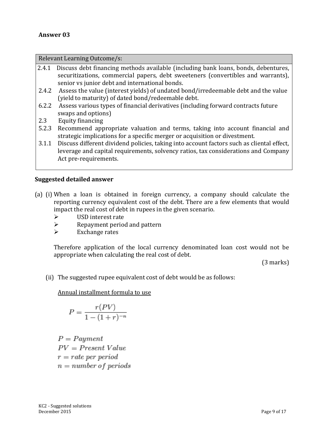Relevant Learning Outcome/s:

- 2.4.1 Discuss debt financing methods available (including bank loans, bonds, debentures, securitizations, commercial papers, debt sweeteners (convertibles and warrants), senior vs junior debt and international bonds.
- 2.4.2 Assess the value (interest yields) of undated bond/irredeemable debt and the value (yield to maturity) of dated bond/redeemable debt.
- 6.2.2 Assess various types of financial derivatives (including forward contracts future swaps and options)
- 2.3 Equity financing
- 5.2.3 Recommend appropriate valuation and terms, taking into account financial and strategic implications for a specific merger or acquisition or divestment.
- 3.1.1 Discuss different dividend policies, taking into account factors such as cliental effect, leverage and capital requirements, solvency ratios, tax considerations and Company Act pre-requirements.

#### **Suggested detailed answer**

- (a) (i) When a loan is obtained in foreign currency, a company should calculate the reporting currency equivalent cost of the debt. There are a few elements that would impact the real cost of debt in rupees in the given scenario.
	- $\triangleright$  USD interest rate
	- $\triangleright$  Repayment period and pattern
	- $\triangleright$  Exchange rates

Therefore application of the local currency denominated loan cost would not be appropriate when calculating the real cost of debt.

(3 marks)

(ii) The suggested rupee equivalent cost of debt would be as follows:

Annual installment formula to use

$$
P = \frac{r(PV)}{1 - (1+r)^{-n}}
$$

 $P = Payment$  $PV = Present Value$  $r = rate$  per period  $n = number of periods$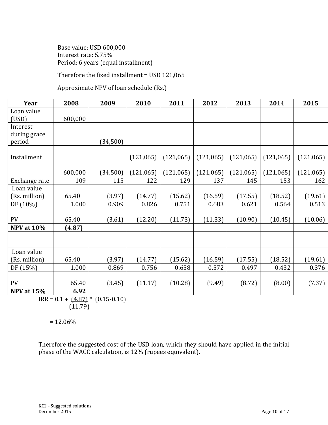Base value: USD 600,000 Interest rate: 5.75% Period: 6 years (equal installment)

Therefore the fixed installment = USD 121,065

Approximate NPV of loan schedule (Rs.)

| Year              | 2008    | 2009     | 2010       | 2011       | 2012       | 2013       | 2014       | 2015       |
|-------------------|---------|----------|------------|------------|------------|------------|------------|------------|
| Loan value        |         |          |            |            |            |            |            |            |
| (USD)             | 600,000 |          |            |            |            |            |            |            |
| Interest          |         |          |            |            |            |            |            |            |
| during grace      |         |          |            |            |            |            |            |            |
| period            |         | (34,500) |            |            |            |            |            |            |
|                   |         |          |            |            |            |            |            |            |
| Installment       |         |          | (121, 065) | (121, 065) | (121, 065) | (121, 065) | (121, 065) | (121, 065) |
|                   | 600,000 | (34,500) | (121, 065) | (121, 065) | (121, 065) | (121, 065) | (121, 065) | (121, 065) |
| Exchange rate     | 109     | 115      | 122        | 129        | 137        | 145        | 153        | 162        |
| Loan value        |         |          |            |            |            |            |            |            |
| (Rs. million)     | 65.40   | (3.97)   | (14.77)    | (15.62)    | (16.59)    | (17.55)    | (18.52)    | (19.61)    |
| DF (10%)          | 1.000   | 0.909    | 0.826      | 0.751      | 0.683      | 0.621      | 0.564      | 0.513      |
|                   |         |          |            |            |            |            |            |            |
| PV                | 65.40   | (3.61)   | (12.20)    | (11.73)    | (11.33)    | (10.90)    | (10.45)    | (10.06)    |
| <b>NPV</b> at 10% | (4.87)  |          |            |            |            |            |            |            |
|                   |         |          |            |            |            |            |            |            |
|                   |         |          |            |            |            |            |            |            |
| Loan value        |         |          |            |            |            |            |            |            |
| (Rs. million)     | 65.40   | (3.97)   | (14.77)    | (15.62)    | (16.59)    | (17.55)    | (18.52)    | (19.61)    |
| DF (15%)          | 1.000   | 0.869    | 0.756      | 0.658      | 0.572      | 0.497      | 0.432      | 0.376      |
|                   |         |          |            |            |            |            |            |            |
| PV                | 65.40   | (3.45)   | (11.17)    | (10.28)    | (9.49)     | (8.72)     | (8.00)     | (7.37)     |
| <b>NPV at 15%</b> | 6.92    |          |            |            |            |            |            |            |

 $IRR = 0.1 + (4.87)^* (0.15 - 0.10)$ (11.79)

 $= 12.06\%$ 

Therefore the suggested cost of the USD loan, which they should have applied in the initial phase of the WACC calculation, is 12% (rupees equivalent).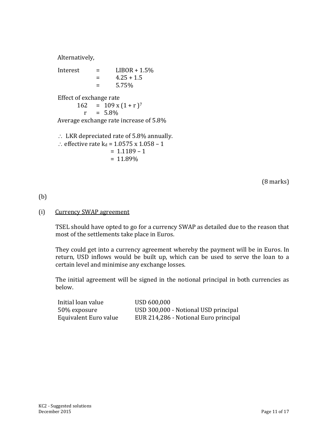Alternatively,

Interest  $=$  LIBOR + 1.5%  $=$  4.25 + 1.5  $= 5.75\%$ Effect of exchange rate  $162 = 109 \times (1+r)^7$ 

 $r = 5.8\%$ 

Average exchange rate increase of 5.8%

 $\therefore$  LKR depreciated rate of 5.8% annually.

∴ effective rate  $k_d$  = 1.0575 x 1.058 – 1  $= 1.1189 - 1$  $= 11.89\%$ 

(8 marks)

# (b)

#### (i) Currency SWAP agreement

TSEL should have opted to go for a currency SWAP as detailed due to the reason that most of the settlements take place in Euros.

They could get into a currency agreement whereby the payment will be in Euros. In return, USD inflows would be built up, which can be used to serve the loan to a certain level and minimise any exchange losses.

The initial agreement will be signed in the notional principal in both currencies as below.

| Initial loan value    | USD 600,000                           |
|-----------------------|---------------------------------------|
| 50% exposure          | USD 300,000 - Notional USD principal  |
| Equivalent Euro value | EUR 214,286 - Notional Euro principal |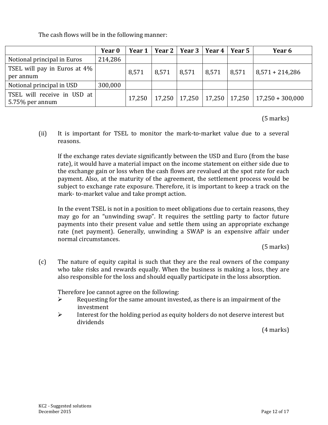The cash flows will be in the following manner:

|                              | Year 0  | Year 1 |       | Year 2   Year 3   Year 4   Year 5 |        |        | Year 6             |
|------------------------------|---------|--------|-------|-----------------------------------|--------|--------|--------------------|
| Notional principal in Euros  | 214,286 |        |       |                                   |        |        |                    |
| TSEL will pay in Euros at 4% |         | 8,571  | 8,571 | 8,571                             | 8,571  | 8,571  | $8,571 + 214,286$  |
| per annum                    |         |        |       |                                   |        |        |                    |
| Notional principal in USD    | 300,000 |        |       |                                   |        |        |                    |
| TSEL will receive in USD at  |         | 17,250 |       | 17,250   17,250                   |        | 17,250 |                    |
| 5.75% per annum              |         |        |       |                                   | 17,250 |        | $17,250 + 300,000$ |

(5 marks)

(ii) It is important for TSEL to monitor the mark-to-market value due to a several reasons.

If the exchange rates deviate significantly between the USD and Euro (from the base rate), it would have a material impact on the income statement on either side due to the exchange gain or loss when the cash flows are revalued at the spot rate for each payment. Also, at the maturity of the agreement, the settlement process would be subject to exchange rate exposure. Therefore, it is important to keep a track on the mark- to-market value and take prompt action.

In the event TSEL is not in a position to meet obligations due to certain reasons, they may go for an "unwinding swap". It requires the settling party to factor future payments into their present value and settle them using an appropriate exchange rate (net payment). Generally, unwinding a SWAP is an expensive affair under normal circumstances.

(5 marks)

(c) The nature of equity capital is such that they are the real owners of the company who take risks and rewards equally. When the business is making a loss, they are also responsible for the loss and should equally participate in the loss absorption.

Therefore Joe cannot agree on the following:

- $\triangleright$  Requesting for the same amount invested, as there is an impairment of the investment
- $\triangleright$  Interest for the holding period as equity holders do not deserve interest but dividends

(4 marks)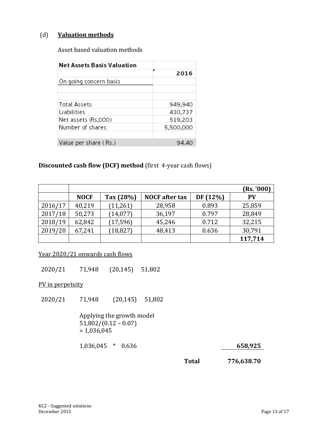#### (d) **Valuation methods**

Asset based valuation methods

| <b>Net Assets Basis Valuation</b> |           |
|-----------------------------------|-----------|
|                                   | 2016      |
| On going concern basis            |           |
|                                   |           |
| Total Assets                      | 949,940   |
| Liabilities                       | 430,737   |
| Net assets (Rs,000)               | 519,203   |
| Number of shares                  | 5,500,000 |
|                                   |           |
| Value per share (Rs.)             | 94.40     |

#### **Discounted cash flow (DCF) method** (first 4-year cash flows)

|         |             |           |                       |          | (Rs. '000) |
|---------|-------------|-----------|-----------------------|----------|------------|
|         | <b>NOCF</b> | Tax (28%) | <b>NOCF</b> after tax | DF (12%) | <b>PV</b>  |
| 2016/17 | 40,219      | (11,261)  | 28,958                | 0.893    | 25,859     |
| 2017/18 | 50,273      | (14, 077) | 36,197                | 0.797    | 28,849     |
| 2018/19 | 62,842      | (17, 596) | 45,246                | 0.712    | 32,215     |
| 2019/20 | 67,241      | (18, 827) | 48,413                | 0.636    | 30,791     |
|         |             |           |                       |          | 117,714    |

Year 2020/21 onwards cash flows

2020/21 71,948 (20,145) 51,802

PV in perpetuity

2020/21 71,948 (20,145) 51,802

> Applying the growth model  $51,802/(0.12 - 0.07)$  $= 1,036,045$

1,036,045 \* 0.636

**Total**

**776,638.70** 

**<sup>658,925</sup>**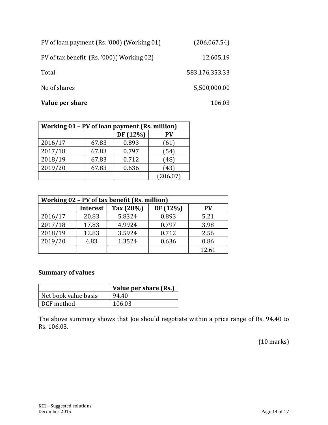| PV of loan payment (Rs. '000) (Working 01) | (206, 067.54) |
|--------------------------------------------|---------------|
|--------------------------------------------|---------------|

PV of tax benefit (Rs. '000)( Working 02)

Total

No of shares

#### **Value per share**

12,605.19

583,176,353.33

5,500,000.00

106.03

| Working 01 - PV of loan payment (Rs. million) |       |          |          |  |
|-----------------------------------------------|-------|----------|----------|--|
|                                               |       | DF (12%) | PV       |  |
| 2016/17                                       | 67.83 | 0.893    | (61)     |  |
| 2017/18                                       | 67.83 | 0.797    | (54)     |  |
| 2018/19                                       | 67.83 | 0.712    | (48)     |  |
| 2019/20                                       | 67.83 | 0.636    | (43)     |  |
|                                               |       |          | (206.07) |  |

| Working 02 - PV of tax benefit (Rs. million) |                 |           |         |           |
|----------------------------------------------|-----------------|-----------|---------|-----------|
|                                              | <b>Interest</b> | Tax (28%) | DF(12%) | <b>PV</b> |
| 2016/17                                      | 20.83           | 5.8324    | 0.893   | 5.21      |
| 2017/18                                      | 17.83           | 4.9924    | 0.797   | 3.98      |
| 2018/19                                      | 12.83           | 3.5924    | 0.712   | 2.56      |
| 2019/20                                      | 4.83            | 1.3524    | 0.636   | 0.86      |
|                                              |                 |           |         | 12.61     |

# **Summary of values**

|                      | Value per share (Rs.) |
|----------------------|-----------------------|
| Net book value basis | 94.40                 |
| DCF method           | 106.03                |

The above summary shows that Joe should negotiate within a price range of Rs. 94.40 to Rs. 106.03.

(10 marks)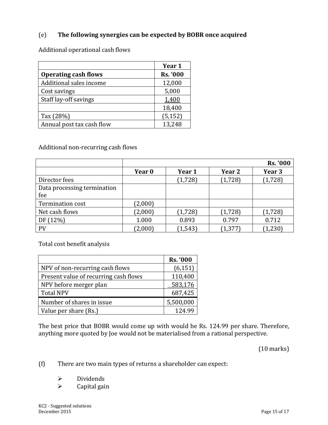### (e) **The following synergies can be expected by BOBR once acquired**

Additional operational cash flows

|                             | Year 1          |
|-----------------------------|-----------------|
| <b>Operating cash flows</b> | <b>Rs. '000</b> |
| Additional sales income     | 12,000          |
| Cost savings                | 5,000           |
| Staff lay-off savings       | 1,400           |
|                             | 18,400          |
| Tax (28%)                   | (5, 152)        |
| Annual post tax cash flow   | 13,248          |

Additional non-recurring cash flows

|                             |         |          |          | <b>Rs. '000</b> |
|-----------------------------|---------|----------|----------|-----------------|
|                             | Year 0  | Year 1   | Year 2   | Year 3          |
| Director fees               |         | (1, 728) | (1, 728) | (1, 728)        |
| Data processing termination |         |          |          |                 |
| fee                         |         |          |          |                 |
| Termination cost            | (2,000) |          |          |                 |
| Net cash flows              | (2,000) | (1,728)  | (1, 728) | (1,728)         |
| DF (12%)                    | 1.000   | 0.893    | 0.797    | 0.712           |
| PV                          | (2,000) | (1, 543) | (1, 377) | (1, 230)        |

Total cost benefit analysis

|                                       | <b>Rs. '000</b> |
|---------------------------------------|-----------------|
| NPV of non-recurring cash flows       | (6, 151)        |
| Present value of recurring cash flows | 110,400         |
| NPV before merger plan                | 583,176         |
| <b>Total NPV</b>                      | 687,425         |
| Number of shares in issue             | 5,500,000       |
| Value per share (Rs.)                 | 124.99          |

The best price that BOBR would come up with would be Rs. 124.99 per share. Therefore, anything more quoted by Joe would not be materialised from a rational perspective.

(10 marks)

(f) There are two main types of returns a shareholder can expect:

- $\triangleright$  Dividends<br> $\triangleright$  Capital gaing
- Capital gain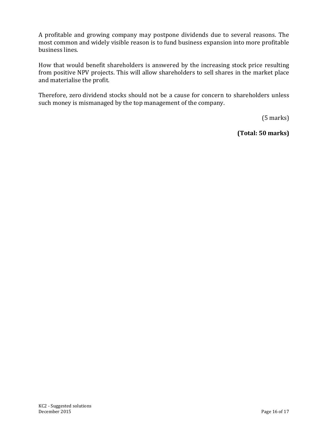A profitable and growing company may postpone dividends due to several reasons. The most common and widely visible reason is to fund business expansion into more profitable business lines.

How that would benefit shareholders is answered by the increasing stock price resulting from positive NPV projects. This will allow shareholders to sell shares in the market place and materialise the profit.

Therefore, zero dividend stocks should not be a cause for concern to shareholders unless such money is mismanaged by the top management of the company.

(5 marks)

**(Total: 50 marks)**